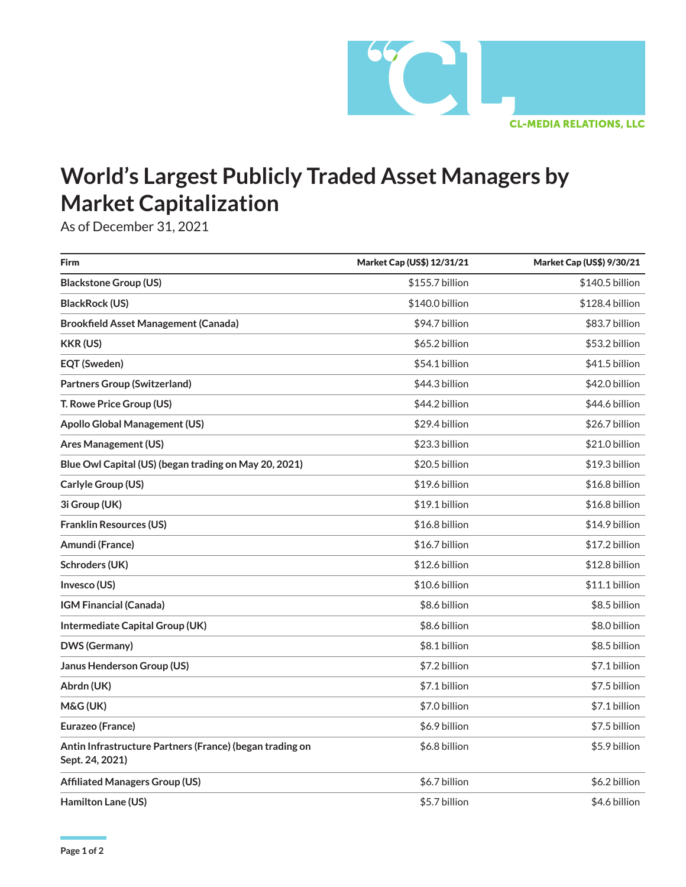

## **World's Largest Publicly Traded Asset Managers by Market Capitalization**

As of December 31, 2021

| Firm                                                                        | Market Cap (US\$) 12/31/21 | Market Cap (US\$) 9/30/21 |
|-----------------------------------------------------------------------------|----------------------------|---------------------------|
| <b>Blackstone Group (US)</b>                                                | \$155.7 billion            | \$140.5 billion           |
| <b>BlackRock (US)</b>                                                       | \$140.0 billion            | \$128.4 billion           |
| <b>Brookfield Asset Management (Canada)</b>                                 | \$94.7 billion             | \$83.7 billion            |
| <b>KKR (US)</b>                                                             | \$65.2 billion             | \$53.2 billion            |
| <b>EQT (Sweden)</b>                                                         | \$54.1 billion             | \$41.5 billion            |
| <b>Partners Group (Switzerland)</b>                                         | \$44.3 billion             | \$42.0 billion            |
| T. Rowe Price Group (US)                                                    | \$44.2 billion             | \$44.6 billion            |
| <b>Apollo Global Management (US)</b>                                        | \$29.4 billion             | \$26.7 billion            |
| <b>Ares Management (US)</b>                                                 | \$23.3 billion             | \$21.0 billion            |
| Blue Owl Capital (US) (began trading on May 20, 2021)                       | \$20.5 billion             | \$19.3 billion            |
| Carlyle Group (US)                                                          | \$19.6 billion             | \$16.8 billion            |
| 3i Group (UK)                                                               | \$19.1 billion             | \$16.8 billion            |
| <b>Franklin Resources (US)</b>                                              | \$16.8 billion             | \$14.9 billion            |
| Amundi (France)                                                             | \$16.7 billion             | \$17.2 billion            |
| Schroders (UK)                                                              | \$12.6 billion             | \$12.8 billion            |
| Invesco (US)                                                                | \$10.6 billion             | \$11.1 billion            |
| <b>IGM Financial (Canada)</b>                                               | \$8.6 billion              | \$8.5 billion             |
| Intermediate Capital Group (UK)                                             | \$8.6 billion              | \$8.0 billion             |
| <b>DWS (Germany)</b>                                                        | \$8.1 billion              | \$8.5 billion             |
| Janus Henderson Group (US)                                                  | \$7.2 billion              | \$7.1 billion             |
| Abrdn (UK)                                                                  | \$7.1 billion              | \$7.5 billion             |
| M&G (UK)                                                                    | \$7.0 billion              | \$7.1 billion             |
| Eurazeo (France)                                                            | \$6.9 billion              | \$7.5 billion             |
| Antin Infrastructure Partners (France) (began trading on<br>Sept. 24, 2021) | \$6.8 billion              | \$5.9 billion             |
| <b>Affiliated Managers Group (US)</b>                                       | \$6.7 billion              | \$6.2 billion             |
| Hamilton Lane (US)                                                          | \$5.7 billion              | \$4.6 billion             |